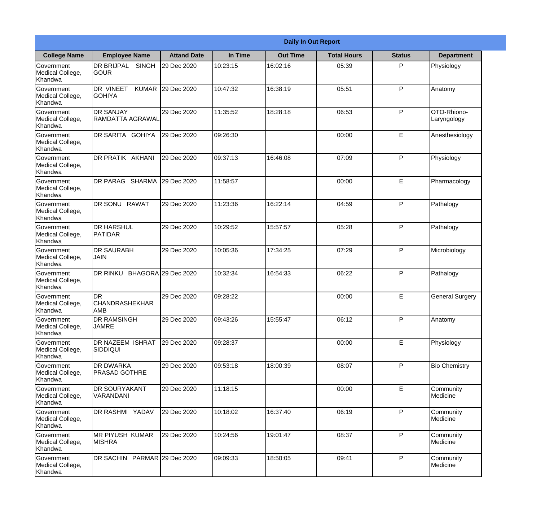|                                                  |                                                   |                     |          | <b>Daily In Out Report</b> |                    |               |                            |
|--------------------------------------------------|---------------------------------------------------|---------------------|----------|----------------------------|--------------------|---------------|----------------------------|
| <b>College Name</b>                              | <b>Employee Name</b>                              | <b>Attand Date</b>  | In Time  | <b>Out Time</b>            | <b>Total Hours</b> | <b>Status</b> | <b>Department</b>          |
| Government<br>Medical College,<br>Khandwa        | <b>DR BRIJPAL</b><br><b>SINGH</b><br> GOUR        | 29 Dec 2020         | 10:23:15 | 16:02:16                   | 05:39              | P             | Physiology                 |
| Government<br>Medical College,<br>Khandwa        | <b>DR VINEET</b><br><b>KUMAR</b><br><b>GOHIYA</b> | 29 Dec 2020         | 10:47:32 | 16:38:19                   | 05:51              | P             | Anatomy                    |
| <b>Government</b><br>Medical College,<br>Khandwa | <b>DR SANJAY</b><br>RAMDATTA AGRAWAL              | 29 Dec 2020         | 11:35:52 | 18:28:18                   | 06:53              | P             | OTO-Rhiono-<br>Laryngology |
| Government<br>Medical College,<br>Khandwa        | DR SARITA GOHIYA                                  | 29 Dec 2020         | 09:26:30 |                            | 00:00              | E             | Anesthesiology             |
| Government<br>Medical College,<br>Khandwa        | <b>DR PRATIK AKHANI</b>                           | 29 Dec 2020         | 09:37:13 | 16:46:08                   | 07:09              | P             | Physiology                 |
| Government<br>Medical College,<br>Khandwa        | DR PARAG SHARMA                                   | 29 Dec 2020         | 11:58:57 |                            | 00:00              | E             | Pharmacology               |
| <b>Government</b><br>Medical College,<br>Khandwa | DR SONU RAWAT                                     | 29 Dec 2020         | 11:23:36 | 16:22:14                   | 04:59              | P             | Pathalogy                  |
| <b>Government</b><br>Medical College,<br>Khandwa | <b>DR HARSHUL</b><br>PATIDAR                      | 29 Dec 2020         | 10:29:52 | 15:57:57                   | 05:28              | P             | Pathalogy                  |
| Government<br>Medical College,<br>Khandwa        | <b>DR SAURABH</b><br><b>JAIN</b>                  | 29 Dec 2020         | 10:05:36 | 17:34:25                   | 07:29              | P             | Microbiology               |
| Government<br>Medical College,<br>Khandwa        | <b>DR RINKU</b>                                   | BHAGORA 29 Dec 2020 | 10:32:34 | 16:54:33                   | 06:22              | P             | Pathalogy                  |
| Government<br>Medical College,<br>Khandwa        | IDR<br><b>CHANDRASHEKHAR</b><br> AMB              | 29 Dec 2020         | 09:28:22 |                            | 00:00              | E             | <b>General Surgery</b>     |
| Government<br>Medical College,<br>Khandwa        | <b>DR RAMSINGH</b><br><b>JAMRE</b>                | 29 Dec 2020         | 09:43:26 | 15:55:47                   | 06:12              | P             | Anatomy                    |
| Government<br>Medical College,<br>Khandwa        | <b>DR NAZEEM ISHRAT</b><br>SIDDIQUI               | 29 Dec 2020         | 09:28:37 |                            | 00:00              | E             | Physiology                 |
| Government<br>Medical College,<br>Khandwa        | <b>DR DWARKA</b><br><b>PRASAD GOTHRE</b>          | 29 Dec 2020         | 09:53:18 | 18:00:39                   | 08:07              | P             | <b>Bio Chemistry</b>       |
| Government<br>Medical College,<br>Khandwa        | <b>DR SOURYAKANT</b><br>VARANDANI                 | 29 Dec 2020         | 11:18:15 |                            | 00:00              | E             | Community<br>Medicine      |
| Government<br>Medical College,<br>Khandwa        | DR RASHMI YADAV                                   | 29 Dec 2020         | 10:18:02 | 16:37:40                   | 06:19              | P             | Community<br>Medicine      |
| Government<br>Medical College,<br>Khandwa        | <b>MR PIYUSH KUMAR</b><br><b>MISHRA</b>           | 29 Dec 2020         | 10:24:56 | 19:01:47                   | 08:37              | P             | Community<br>Medicine      |
| Government<br>Medical College,<br>Khandwa        | DR SACHIN PARMAR 29 Dec 2020                      |                     | 09:09:33 | 18:50:05                   | 09:41              | P             | Community<br>Medicine      |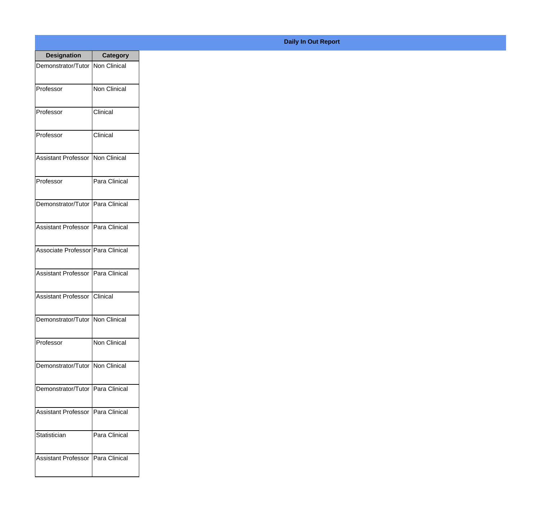| <b>Designation</b>                  | <b>Category</b>     |
|-------------------------------------|---------------------|
| Demonstrator/Tutor   Non Clinical   |                     |
| Professor                           | <b>Non Clinical</b> |
| Professor                           | Clinical            |
| Professor                           | Clinical            |
| <b>Assistant Professor</b>          | Non Clinical        |
| Professor                           | Para Clinical       |
| Demonstrator/Tutor   Para Clinical  |                     |
| Assistant Professor   Para Clinical |                     |
| Associate Professor Para Clinical   |                     |
| <b>Assistant Professor</b>          | Para Clinical       |
| <b>Assistant Professor</b>          | Clinical            |
| Demonstrator/Tutor   Non Clinical   |                     |
| Professor                           | Non Clinical        |
| Demonstrator/Tutor   Non Clinical   |                     |
| Demonstrator/Tutor   Para Clinical  |                     |
| <b>Assistant Professor</b>          | Para Clinical       |
| Statistician                        | Para Clinical       |
| Assistant Professor   Para Clinical |                     |

## **Daily In Out Report**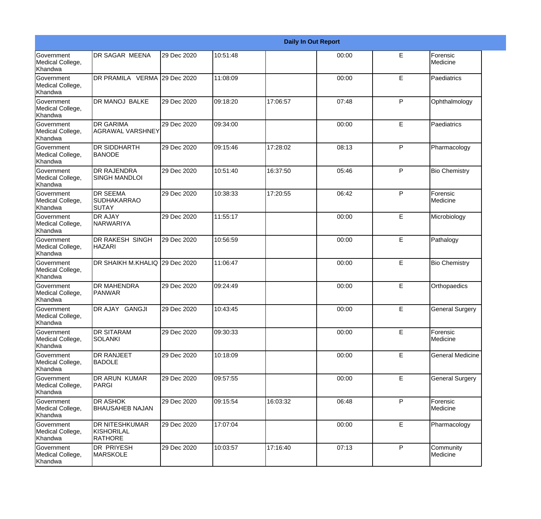|                                                  |                                                       |             |          |          | <b>Daily In Out Report</b> |              |                         |
|--------------------------------------------------|-------------------------------------------------------|-------------|----------|----------|----------------------------|--------------|-------------------------|
| <b>Government</b><br>Medical College,<br>Khandwa | <b>DR SAGAR MEENA</b>                                 | 29 Dec 2020 | 10:51:48 |          | 00:00                      | E            | Forensic<br>Medicine    |
| Government<br>Medical College,<br>Khandwa        | DR PRAMILA VERMA 29 Dec 2020                          |             | 11:08:09 |          | 00:00                      | E            | Paediatrics             |
| <b>Government</b><br>Medical College,<br>Khandwa | <b>DR MANOJ BALKE</b>                                 | 29 Dec 2020 | 09:18:20 | 17:06:57 | 07:48                      | P            | Ophthalmology           |
| Government<br>Medical College,<br>Khandwa        | <b>DR GARIMA</b><br><b>AGRAWAL VARSHNEY</b>           | 29 Dec 2020 | 09:34:00 |          | 00:00                      | E            | Paediatrics             |
| Government<br>Medical College,<br>Khandwa        | <b>DR SIDDHARTH</b><br><b>BANODE</b>                  | 29 Dec 2020 | 09:15:46 | 17:28:02 | 08:13                      | P            | Pharmacology            |
| Government<br>Medical College,<br>Khandwa        | <b>DR RAJENDRA</b><br><b>SINGH MANDLOI</b>            | 29 Dec 2020 | 10:51:40 | 16:37:50 | 05:46                      | P            | <b>Bio Chemistry</b>    |
| Government<br>Medical College,<br><b>Khandwa</b> | <b>DR SEEMA</b><br>SUDHAKARRAO<br><b>SUTAY</b>        | 29 Dec 2020 | 10:38:33 | 17:20:55 | 06:42                      | P            | Forensic<br>Medicine    |
| Government<br>Medical College,<br>Khandwa        | <b>DR AJAY</b><br>NARWARIYA                           | 29 Dec 2020 | 11:55:17 |          | 00:00                      | E            | Microbiology            |
| Government<br>Medical College,<br>Khandwa        | <b>DR RAKESH SINGH</b><br><b>HAZARI</b>               | 29 Dec 2020 | 10:56:59 |          | 00:00                      | E            | Pathalogy               |
| <b>Government</b><br>Medical College,<br>Khandwa | DR SHAIKH M.KHALIQ 29 Dec 2020                        |             | 11:06:47 |          | 00:00                      | E            | <b>Bio Chemistry</b>    |
| <b>Government</b><br>Medical College,<br>Khandwa | <b>DR MAHENDRA</b><br><b>PANWAR</b>                   | 29 Dec 2020 | 09:24:49 |          | 00:00                      | E            | Orthopaedics            |
| Government<br>Medical College,<br>Khandwa        | DR AJAY GANGJI                                        | 29 Dec 2020 | 10:43:45 |          | 00:00                      | E            | <b>General Surgery</b>  |
| Government<br>Medical College,<br>Khandwa        | <b>DR SITARAM</b><br><b>SOLANKI</b>                   | 29 Dec 2020 | 09:30:33 |          | 00:00                      | E            | Forensic<br>Medicine    |
| <b>Government</b><br>Medical College,<br>Khandwa | <b>DR RANJEET</b><br><b>BADOLE</b>                    | 29 Dec 2020 | 10:18:09 |          | 00:00                      | E            | <b>General Medicine</b> |
| Government<br>Medical College,<br>Khandwa        | <b>DR ARUN KUMAR</b><br>PARGI                         | 29 Dec 2020 | 09:57:55 |          | 00:00                      | E            | <b>General Surgery</b>  |
| Government<br>Medical College,<br>Khandwa        | <b>DR ASHOK</b><br><b>BHAUSAHEB NAJAN</b>             | 29 Dec 2020 | 09:15:54 | 16:03:32 | 06:48                      | P            | Forensic<br>Medicine    |
| Government<br>Medical College,<br>Khandwa        | <b>DR NITESHKUMAR</b><br>KISHORILAL<br><b>RATHORE</b> | 29 Dec 2020 | 17:07:04 |          | 00:00                      | $\mathsf E$  | Pharmacology            |
| Government<br>Medical College,<br>Khandwa        | DR PRIYESH<br><b>MARSKOLE</b>                         | 29 Dec 2020 | 10:03:57 | 17:16:40 | 07:13                      | $\mathsf{P}$ | Community<br>Medicine   |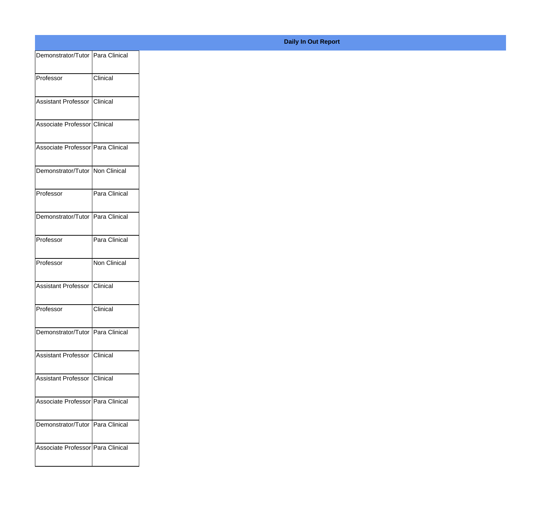| Demonstrator/Tutor   Para Clinical |               |
|------------------------------------|---------------|
| Professor                          | Clinical      |
|                                    |               |
| Assistant Professor                | Clinical      |
| Associate Professor Clinical       |               |
|                                    |               |
| Associate Professor Para Clinical  |               |
| Demonstrator/Tutor Non Clinical    |               |
|                                    |               |
| Professor                          | Para Clinical |
| Demonstrator/Tutor Para Clinical   |               |
|                                    |               |
| Professor                          | Para Clinical |
| Professor                          | Non Clinical  |
|                                    |               |
| Assistant Professor                | Clinical      |
| Professor                          | Clinical      |
| Demonstrator/Tutor Para Clinical   |               |
|                                    |               |
| Assistant Professor Clinical       |               |
| Assistant Professor Clinical       |               |
|                                    |               |
| Associate Professor Para Clinical  |               |
| Demonstrator/Tutor Para Clinical   |               |
|                                    |               |
| Associate Professor Para Clinical  |               |
|                                    |               |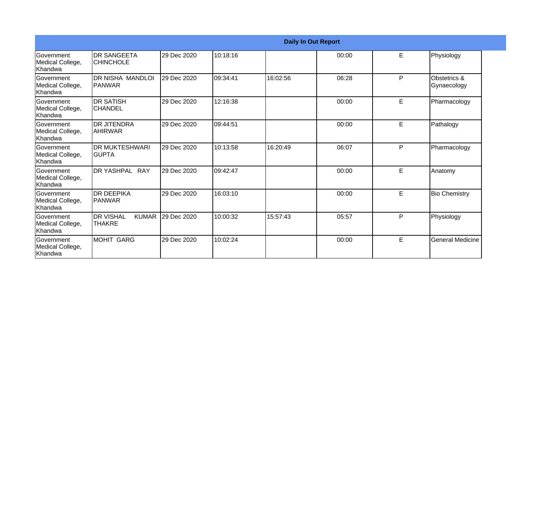|                                                   |                                                   |             |          |          | <b>Daily In Out Report</b> |   |                             |
|---------------------------------------------------|---------------------------------------------------|-------------|----------|----------|----------------------------|---|-----------------------------|
| <b>Government</b><br>Medical College,<br>Khandwa  | <b>DR SANGEETA</b><br><b>CHINCHOLE</b>            | 29 Dec 2020 | 10:18:16 |          | 00:00                      | E | Physiology                  |
| Government<br>Medical College,<br>Khandwa         | <b>DR NISHA MANDLOI</b><br>IPANWAR                | 29 Dec 2020 | 09:34:41 | 16:02:56 | 06:28                      | P | Obstetrics &<br>Gynaecology |
| Government<br>Medical College,<br>Khandwa         | <b>DR SATISH</b><br><b>CHANDEL</b>                | 29 Dec 2020 | 12:16:38 |          | 00:00                      | E | Pharmacology                |
| Government<br>Medical College,<br>Khandwa         | <b>DR JITENDRA</b><br><b>AHIRWAR</b>              | 29 Dec 2020 | 09:44:51 |          | 00:00                      | E | Pathalogy                   |
| <b>Sovernment</b><br>Medical College,<br>Khandwa  | <b>DR MUKTESHWARI</b><br><b>GUPTA</b>             | 29 Dec 2020 | 10:13:58 | 16:20:49 | 06:07                      | P | Pharmacology                |
| Government<br>Medical College,<br>Khandwa         | DR YASHPAL RAY                                    | 29 Dec 2020 | 09:42:47 |          | 00:00                      | E | Anatomy                     |
| <b>IGovernment</b><br>Medical College,<br>Khandwa | <b>DR DEEPIKA</b><br>PANWAR                       | 29 Dec 2020 | 16:03:10 |          | 00:00                      | E | <b>Bio Chemistry</b>        |
| Government<br>Medical College,<br>Khandwa         | <b>DR VISHAL</b><br><b>KUMAR</b><br><b>THAKRE</b> | 29 Dec 2020 | 10:00:32 | 15:57:43 | 05:57                      | P | Physiology                  |
| Government<br>Medical College,<br>Khandwa         | <b>MOHIT GARG</b>                                 | 29 Dec 2020 | 10:02:24 |          | 00:00                      | E | <b>General Medicine</b>     |